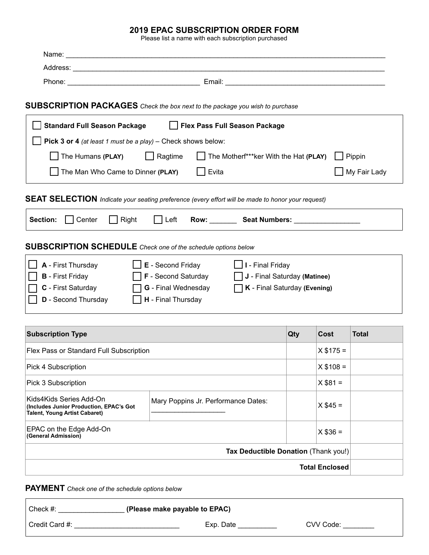### **2019 EPAC SUBSCRIPTION ORDER FORM**

Please list a name with each subscription purchased

|                                                                                                            | SUBSCRIPTION PACKAGES Check the box next to the package you wish to purchase                      |            |                       |              |  |  |  |
|------------------------------------------------------------------------------------------------------------|---------------------------------------------------------------------------------------------------|------------|-----------------------|--------------|--|--|--|
| <b>Standard Full Season Package</b>                                                                        | Flex Pass Full Season Package                                                                     |            |                       |              |  |  |  |
| Pick 3 or 4 (at least 1 must be a play) - Check shows below:                                               |                                                                                                   |            |                       |              |  |  |  |
| The Humans (PLAY)<br>$\Box$ Ragtime<br>$\Box$ The Motherf***ker With the Hat (PLAY)<br>$\Box$ Pippin       |                                                                                                   |            |                       |              |  |  |  |
| My Fair Lady<br>The Man Who Came to Dinner (PLAY)<br>$\Box$ Evita                                          |                                                                                                   |            |                       |              |  |  |  |
|                                                                                                            | SEAT SELECTION Indicate your seating preference (every effort will be made to honor your request) |            |                       |              |  |  |  |
| Section:<br>Center<br>Right<br>Left Row: Seat Numbers:                                                     |                                                                                                   |            |                       |              |  |  |  |
| <b>SUBSCRIPTION SCHEDULE</b> Check one of the schedule options below                                       |                                                                                                   |            |                       |              |  |  |  |
| <b>A</b> - First Thursday                                                                                  | $\Box$ <b>E</b> - Second Friday<br>$\Box$ I - Final Friday                                        |            |                       |              |  |  |  |
| <b>F</b> - Second Saturday<br><b>B</b> - First Friday<br>J - Final Saturday (Matinee)                      |                                                                                                   |            |                       |              |  |  |  |
| <b>G</b> - Final Wednesday<br><b>C</b> - First Saturday<br>$\Box K$ - Final Saturday (Evening)             |                                                                                                   |            |                       |              |  |  |  |
| <b>D</b> - Second Thursday                                                                                 | H - Final Thursday                                                                                |            |                       |              |  |  |  |
|                                                                                                            |                                                                                                   |            |                       |              |  |  |  |
| <b>Subscription Type</b>                                                                                   |                                                                                                   | <b>Qty</b> | Cost                  | <b>Total</b> |  |  |  |
| Flex Pass or Standard Full Subscription                                                                    | $X $175 =$                                                                                        |            |                       |              |  |  |  |
| Pick 4 Subscription                                                                                        | $X $108 =$                                                                                        |            |                       |              |  |  |  |
| $X $81 =$<br>Pick 3 Subscription                                                                           |                                                                                                   |            |                       |              |  |  |  |
| Kids4Kids Series Add-On<br>(Includes Junior Production, EPAC's Got<br><b>Talent, Young Artist Cabaret)</b> |                                                                                                   | $X$ \$45 = |                       |              |  |  |  |
| EPAC on the Edge Add-On<br>$X $36 =$<br>(General Admission)                                                |                                                                                                   |            |                       |              |  |  |  |
|                                                                                                            | Tax Deductible Donation (Thank you!)                                                              |            |                       |              |  |  |  |
|                                                                                                            |                                                                                                   |            | <b>Total Enclosed</b> |              |  |  |  |

**PAYMENT** *Check one of the schedule options below*

| Check #:       | (Please make payable to EPAC) |           |
|----------------|-------------------------------|-----------|
| Credit Card #: | Exp. Date                     | CVV Code: |